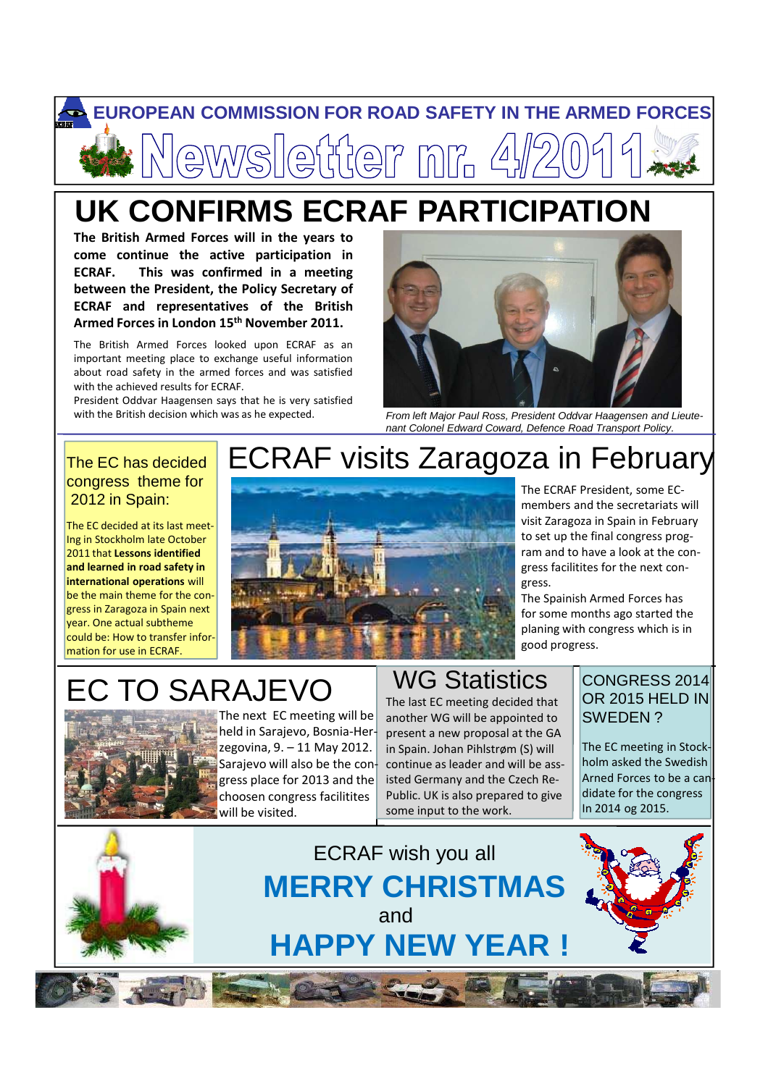## **EUROPEAN COMMISSION FOR ROAD SAFETY IN THE ARMED FORCES** sletter mr

# **UK CONFIRMS ECRAF PARTICIPATION**

**The British Armed Forces will in the years to come continue the active participation in ECRAF. This was confirmed in a meeting between the President, the Policy Secretary of ECRAF and representatives of the British Armed Forces in London 15th November 2011.**

The British Armed Forces looked upon ECRAF as an important meeting place to exchange useful information about road safety in the armed forces and was satisfied with the achieved results for ECRAF.

President Oddvar Haagensen says that he is very satisfied with the British decision which was as he expected.



From left Major Paul Ross, President Oddvar Haagensen and Lieutenant Colonel Edward Coward, Defence Road Transport Policy.

## congress theme for 2012 in Spain:

The EC decided at its last meet-Ing in Stockholm late October 2011 that **Lessons identified and learned in road safety in international operations** will be the main theme for the congress in Zaragoza in Spain next year. One actual subtheme could be: How to transfer information for use in ECRAF.

# The EC has decided ECRAF visits Zaragoza in February



The ECRAF President, some ECmembers and the secretariats will visit Zaragoza in Spain in February to set up the final congress program and to have a look at the congress facilitites for the next congress.

The Spainish Armed Forces has for some months ago started the planing with congress which is in good progress.

# EC TO SARAJEVO



The next EC meeting will be held in Sarajevo, Bosnia-Herzegovina, 9. – 11 May 2012. Sarajevo will also be the congress place for 2013 and the choosen congress facilitites will be visited.

# **WG Statistics**

The last EC meeting decided that another WG will be appointed to present a new proposal at the GA in Spain. Johan Pihlstrøm (S) will continue as leader and will be assisted Germany and the Czech Re-Public. UK is also prepared to give some input to the work.

#### CONGRESS 2014 OR 2015 HELD IN SWEDEN ?

didate for the congress The EC meeting in Stockholm asked the Swedish Arned Forces to be a can-In 2014 og 2015.



ECRAF wish you all **MERRY CHRISTMAS HAPPY NEW YEAR !** and